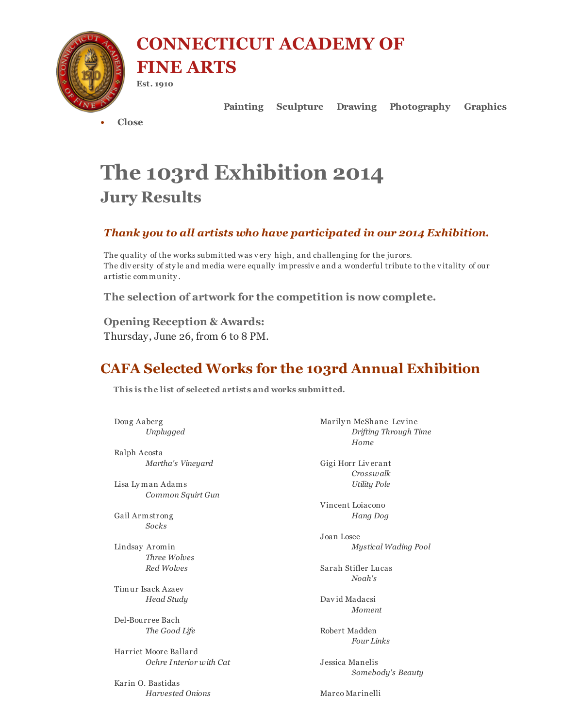

CONNECTICUT ACADEMY OF FINE ARTS

Est. 1910

Painting Sculpture Drawing Photography Graphics

• Close

# The 103rd Exhibition 2014 Jury Results

### *Thank you to all artists who have participated in our 2014 Exhibition.*

The quality of the works submitted was very high, and challenging for the jurors. The diversity of sty le and media were equally impressive and a wonderful tribute to the vitality of our artistic community .

The selection of artwork for the competition is now complete.

Opening Reception & Awards: Thursday, June 26, from 6 to 8 PM.

# CAFA Selected Works for the 103rd Annual Exhibition

This is the list of selected artists and works submitted.

Doug Aaberg *Unplugged*

Ralph Acosta *Martha's Vineyard*

Lisa Ly man Adams *Common Squirt Gun*

Gail Armstrong *Socks*

Lindsay Aromin *Three Wolves Red Wolves*

Timur Isack Azaev *Head Study*

Del-Bourree Bach *The Good Life*

Harriet Moore Ballard *Ochre Interior with Cat*

Karin O. Bastidas *Harvested Onions* Marily n McShane Levine *Drifting Through Time Home*

Gigi Horr Liverant *Crosswalk Utility Pole*

Vincent Loiacono *Hang Dog*

Joan Losee *Mystical Wading Pool*

Sarah Stifler Lucas *Noah's*

David Madacsi *Moment*

Robert Madden *Four Links*

Jessica Manelis *Somebody's Beauty*

Marco Marinelli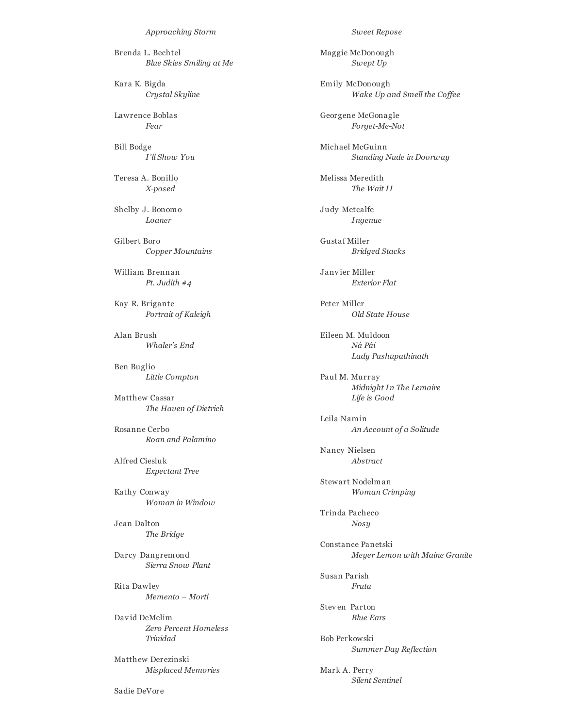*Approaching Storm*

Brenda L. Bechtel *Blue Skies Smiling at Me*

Kara K. Bigda *Crystal Skyline*

Lawrence Boblas *Fear*

Bill Bodge *I'll Show You*

Teresa A. Bonillo *X-posed*

Shelby J. Bonomo *Loaner*

Gilbert Boro *Copper Mountains*

William Brennan *Pt. Judith #4*

Kay R. Brigante *Portrait of Kaleigh*

Alan Brush *Whaler's End*

Ben Buglio *Little Compton*

Matthew Cassar *The Haven of Dietrich*

Rosanne Cerbo *Roan and Palamino*

Alfred Ciesluk *Expectant Tree*

Kathy Conway *Woman in Window*

Jean Dalton *The Bridge*

Darcy Dangremond *Sierra Snow Plant*

Rita Dawley *Memento – Morti*

David DeMelim *Zero Percent Homeless Trinidad*

Matthew Derezinski *Misplaced Memories* *Sweet Repose*

Maggie McDonough *Swept Up*

Emily McDonough *Wake Up and Smell the Cof ee*

Georgene McGonagle *Forget-Me-Not*

Michael McGuinn *Standing Nude in Doorway*

Melissa Meredith *The Wait II*

Judy Metcalfe *Ingenue*

Gustaf Miller *Bridged Stacks*

Janvier Miller *Exterior Flat*

Peter Miller *Old State House*

Eileen M. Muldoon *Ná Pái Lady Pashupathinath*

Paul M. Murray *Midnight In The Lemaire Life is Good*

Leila Namin *An Account of a Solitude*

Nancy Nielsen *Abstract*

Stewart Nodelman *Woman Crimping*

Trinda Pacheco *Nosy*

Constance Panetski *Meyer Lemon with Maine Granite*

Susan Parish *Fruta*

Steven Parton *Blue Ears*

Bob Perkowski *Summer Day Reflection*

Mark A. Perry *Silent Sentinel*

Sadie DeVore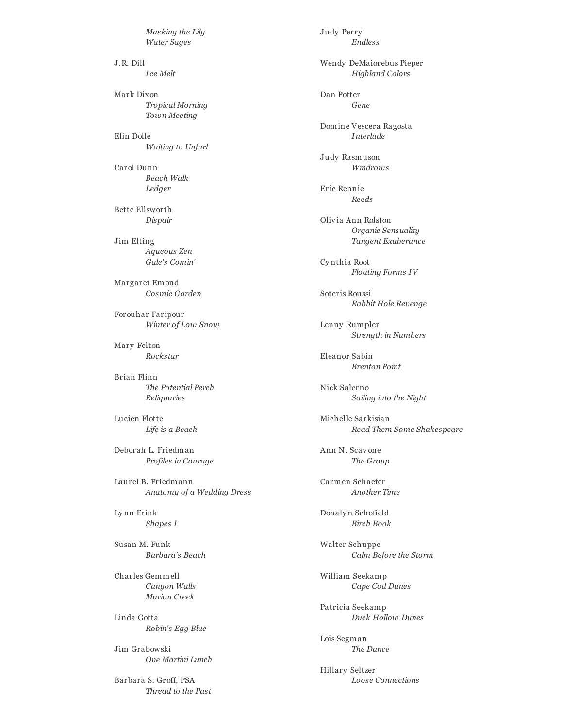*Masking the Lily Water Sages*

J.R. Dill *Ice Melt*

Mark Dixon *Tropical Morning Town Meeting*

Elin Dolle *Waiting to Unfurl*

Carol Dunn *Beach Walk Ledger*

Bette Ellsworth *Dispair*

Jim Elting *Aqueous Zen Gale's Comin'*

Margaret Emond *Cosmic Garden*

Forouhar Faripour *Winter of Low Snow*

Mary Felton *Rockstar*

Brian Flinn *The Potential Perch Reliquaries*

Lucien Flotte *Life is a Beach*

Deborah L. Friedman *Profiles in Courage*

Laurel B. Friedmann *Anatomy of a Wedding Dress*

Ly nn Frink *Shapes I*

Susan M. Funk *Barbara's Beach*

Charles Gemmell *Canyon Walls Marion Creek*

Linda Gotta *Robin's Egg Blue*

Jim Grabowski *One Martini Lunch*

Barbara S. Groff, PSA *Thread to the Past* Judy Perry *Endless*

Wendy DeMaiorebus Pieper *Highland Colors*

Dan Potter *Gene*

Domine Vescera Ragosta *Interlude*

Judy Rasmuson *Windrows*

Eric Rennie *Reeds*

Olivia Ann Rolston *Organic Sensuality Tangent Exuberance*

Cy nthia Root *Floating Forms IV*

Soteris Roussi *Rabbit Hole Revenge*

Lenny Rumpler *Strength in Numbers*

Eleanor Sabin *Brenton Point*

Nick Salerno *Sailing into the Night*

Michelle Sarkisian *Read Them Some Shakespeare*

Ann N. Scav one *The Group*

Carmen Schaefer *Another Time*

Donaly n Schofield *Birch Book*

Walter Schuppe *Calm Before the Storm*

William Seekamp *Cape Cod Dunes*

Patricia Seekamp *Duck Hollow Dunes*

Lois Segman *The Dance*

Hillary Seltzer *Loose Connections*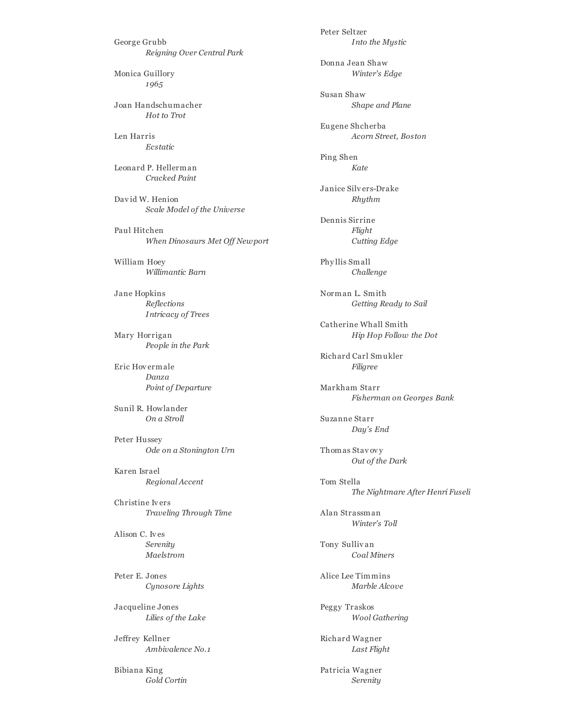George Grubb *Reigning Over Central Park*

Monica Guillory *1965*

Joan Handschumacher *Hot to Trot*

Len Harris *Ecstatic*

Leonard P. Hellerman *Cracked Paint*

David W. Henion *Scale Model of the Universe*

Paul Hitchen *When Dinosaurs Met Of Newport*

William Hoey *Willimantic Barn*

Jane Hopkins *Reflections Intricacy of Trees*

Mary Horrigan *People in the Park*

Eric Hovermale *Danza Point of Departure*

Sunil R. Howlander *On a Stroll*

Peter Hussey *Ode on a Stonington Urn*

Karen Israel *Regional Accent*

Christine Ivers *Traveling Through Time*

Alison C. Ives *Serenity Maelstrom*

Peter E. Jones *Cynosore Lights*

Jacqueline Jones *Lilies of the Lake*

Jeffrey Kellner *Ambivalence No.1*

Bibiana King *Gold Cortin* Peter Seltzer *Into the Mystic*

Donna Jean Shaw *Winter's Edge*

Susan Shaw *Shape and Plane*

Eugene Shcherba *Acorn Street, Boston*

Ping Shen *Kate*

Janice Silvers-Drake *Rhythm*

Dennis Sirrine *Flight Cutting Edge*

Phy llis Small *Challenge*

Norman L. Smith *Getting Ready to Sail*

Catherine Whall Smith *Hip Hop Follow the Dot*

Richard Carl Smukler *Filigree*

Markham Starr *Fisherman on Georges Bank*

Suzanne Starr *Day's End*

Thomas Stav ovy *Out of the Dark*

Tom Stella *The Nightmare After Henri Fuseli*

Alan Strassman *Winter's Toll*

Tony Sulliv an *Coal Miners*

Alice Lee Timmins *Marble Alcove*

Peggy Traskos *Wool Gathering*

Richard Wagner *Last Flight*

Patricia Wagner *Serenity*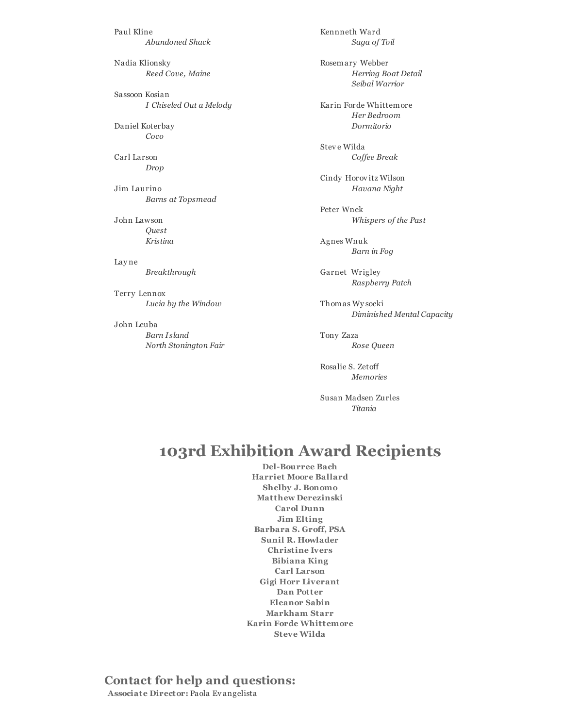Paul Kline *Abandoned Shack*

Nadia Klionsky *Reed Cove, Maine*

Sassoon Kosian *I Chiseled Out a Melody*

Daniel Koterbay *Coco*

Carl Larson *Drop*

Jim Laurino *Barns at Topsmead*

John Lawson *Quest Kristina*

Lay ne *Breakthrough*

Terry Lennox *Lucia by the Window*

John Leuba *Barn I sland North Stonington Fair* Kennneth Ward *Saga of Toil* Rosemary Webber

*Herring Boat Detail Seibal Warrior*

Karin Forde Whittemore *Her Bedroom Dormitorio*

Steve Wilda *Cof ee Break*

Cindy Horovitz Wilson *Havana Night*

Peter Wnek *Whispers of the Past*

Agnes Wnuk *Barn in Fog*

Garnet Wrigley *Raspberry Patch*

Thomas Wy socki *Diminished Mental Capacity*

Tony Zaza *Rose Queen*

Rosalie S. Zetoff *Memories*

Susan Madsen Zurles *Titania*

## 103rd Exhibition Award Recipients

Del-Bourree Bach Harriet Moore Ballard Shelby J. Bonomo Matthew Derezinski Carol Dunn Jim Elting Barbara S. Groff, PSA Sunil R. Howlader Christine Ivers Bibiana King Carl Larson Gigi Horr Liverant Dan Potter Eleanor Sabin Markham Starr Karin Forde Whittemore Steve Wilda

Contact for help and questions: Associate Director: Paola Ev angelista